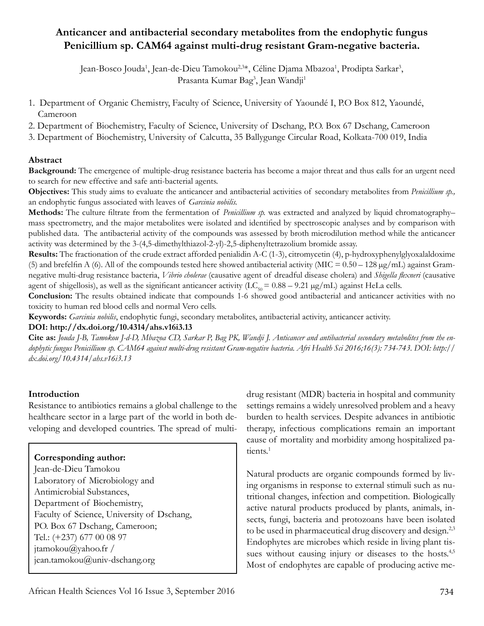# **Anticancer and antibacterial secondary metabolites from the endophytic fungus Penicillium sp. CAM64 against multi-drug resistant Gram-negative bacteria.**

Jean-Bosco Jouda<sup>1</sup>, Jean-de-Dieu Tamokou<sup>2,3</sup>\*, Céline Djama Mbazoa<sup>1</sup>, Prodipta Sarkar<sup>3</sup>, Prasanta Kumar Bag<sup>3</sup>, Jean Wandji<sup>1</sup>

- 1. Department of Organic Chemistry, Faculty of Science, University of Yaoundé I, P.O Box 812, Yaoundé, Cameroon
- 2. Department of Biochemistry, Faculty of Science, University of Dschang, P.O. Box 67 Dschang, Cameroon
- 3. Department of Biochemistry, University of Calcutta, 35 Ballygunge Circular Road, Kolkata-700 019, India

#### **Abstract**

**Background:** The emergence of multiple-drug resistance bacteria has become a major threat and thus calls for an urgent need to search for new effective and safe anti-bacterial agents.

**Objectives:** This study aims to evaluate the anticancer and antibacterial activities of secondary metabolites from *Penicillium sp.,*  an endophytic fungus associated with leaves of *Garcinia nobilis.*

**Methods:** The culture filtrate from the fermentation of *Penicillium sp.* was extracted and analyzed by liquid chromatography– mass spectrometry, and the major metabolites were isolated and identified by spectroscopic analyses and by comparison with published data. The antibacterial activity of the compounds was assessed by broth microdilution method while the anticancer activity was determined by the 3-(4,5-dimethylthiazol-2-yl)-2,5-diphenyltetrazolium bromide assay.

**Results:** The fractionation of the crude extract afforded penialidin A-C (1-3), citromycetin (4), p-hydroxyphenylglyoxalaldoxime (5) and brefelfin A (6). All of the compounds tested here showed antibacterial activity (MIC =  $0.50 - 128 \mu g/mL$ ) against Gramnegative multi-drug resistance bacteria, *Vibrio cholerae* (causative agent of dreadful disease cholera) and *Shigella flexneri* (causative agent of shigellosis), as well as the significant anticancer activity ( $LC_{50} = 0.88 - 9.21$  µg/mL) against HeLa cells.

**Conclusion:** The results obtained indicate that compounds 1-6 showed good antibacterial and anticancer activities with no toxicity to human red blood cells and normal Vero cells.

**Keywords:** *Garcinia nobilis*, endophytic fungi, secondary metabolites, antibacterial activity, anticancer activity.

#### **DOI: http://dx.doi.org/10.4314/ahs.v16i3.13**

**Cite as:** *Jouda J-B, Tamokou J-d-D, Mbazoa CD, Sarkar P, Bag PK, Wandji J. Anticancer and antibacterial secondary metabolites from the endophytic fungus Penicillium sp. CAM64 against multi-drug resistant Gram-negative bacteria. Afri Health Sci 2016;16(3): 734-743. DOI: http:// dx.doi.org/10.4314/ahs.v16i3.13*

#### **Introduction**

Resistance to antibiotics remains a global challenge to the healthcare sector in a large part of the world in both developing and developed countries. The spread of multi-

## **Corresponding author:**

Jean-de-Dieu Tamokou Laboratory of Microbiology and Antimicrobial Substances, Department of Biochemistry, Faculty of Science, University of Dschang, PO. Box 67 Dschang, Cameroon; Tel.: (+237) 677 00 08 97 jtamokou@yahoo.fr / jean.tamokou@univ-dschang.org

drug resistant (MDR) bacteria in hospital and community settings remains a widely unresolved problem and a heavy burden to health services. Despite advances in antibiotic therapy, infectious complications remain an important cause of mortality and morbidity among hospitalized patients.<sup>1</sup>

Natural products are organic compounds formed by living organisms in response to external stimuli such as nutritional changes, infection and competition. Biologically active natural products produced by plants, animals, insects, fungi, bacteria and protozoans have been isolated to be used in pharmaceutical drug discovery and design.<sup>2,3</sup> Endophytes are microbes which reside in living plant tissues without causing injury or diseases to the hosts.<sup>4,5</sup> Most of endophytes are capable of producing active me-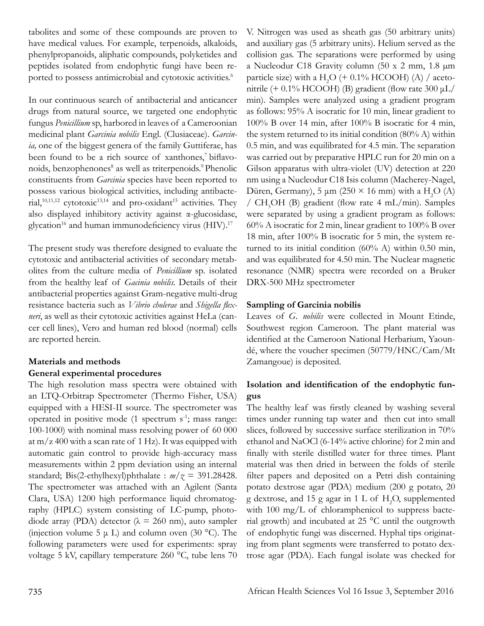tabolites and some of these compounds are proven to have medical values. For example, terpenoids, alkaloids, phenylpropanoids, aliphatic compounds, polyketides and peptides isolated from endophytic fungi have been reported to possess antimicrobial and cytotoxic activities.<sup>6</sup>

In our continuous search of antibacterial and anticancer drugs from natural source, we targeted one endophytic fungus *Penicillium* sp, harbored in leaves of a Cameroonian medicinal plant *Garcinia nobilis* Engl. (Clusiaceae). *Garcinia,* one of the biggest genera of the family Guttiferae, has been found to be a rich source of xanthones,<sup>7</sup> biflavonoids, benzophenones<sup>8</sup> as well as triterpenoids.<sup>9</sup> Phenolic constituents from *Garcinia* species have been reported to possess various biological activities, including antibacterial,<sup>10,11,12</sup> cytotoxic<sup>13,14</sup> and pro-oxidant<sup>15</sup> activities. They also displayed inhibitory activity against α-glucosidase, glycation<sup>16</sup> and human immunodeficiency virus (HIV).<sup>17</sup>

The present study was therefore designed to evaluate the cytotoxic and antibacterial activities of secondary metabolites from the culture media of *Penicillium* sp*.* isolated from the healthy leaf of *Gacinia nobilis.* Details of their antibacterial properties against Gram-negative multi-drug resistance bacteria such as *Vibrio cholerae* and *Shigella flexneri*, as well as their cytotoxic activities against HeLa (cancer cell lines), Vero and human red blood (normal) cells are reported herein.

## **Materials and methods General experimental procedures**

The high resolution mass spectra were obtained with an LTQ-Orbitrap Spectrometer (Thermo Fisher, USA) equipped with a HESI-II source. The spectrometer was operated in positive mode  $(1$  spectrum  $s^{-1}$ ; mass range: 100-1000) with nominal mass resolving power of 60 000 at  $m/z$  400 with a scan rate of 1 Hz). It was equipped with automatic gain control to provide high-accuracy mass measurements within 2 ppm deviation using an internal standard; Bis(2-ethylhexyl)phthalate :  $m/z = 391.28428$ . The spectrometer was attached with an Agilent (Santa Clara, USA) 1200 high performance liquid chromatography (HPLC) system consisting of LC-pump, photodiode array (PDA) detector ( $\lambda = 260$  nm), auto sampler (injection volume 5  $\mu$  L) and column oven (30 °C). The following parameters were used for experiments: spray voltage 5 kV, capillary temperature 260 °C, tube lens 70

V. Nitrogen was used as sheath gas (50 arbitrary units) and auxiliary gas (5 arbitrary units). Helium served as the collision gas. The separations were performed by using a Nucleodur C18 Gravity column (50 x 2 mm, 1.8 µm particle size) with a  $H_2O$  (+ 0.1% HCOOH) (A) / acetonitrile  $(+ 0.1\%$  HCOOH) (B) gradient (flow rate 300  $\mu$ L/ min). Samples were analyzed using a gradient program as follows: 95% A isocratic for 10 min, linear gradient to 100% B over 14 min, after 100% B isocratic for 4 min, the system returned to its initial condition (80% A) within 0.5 min, and was equilibrated for 4.5 min. The separation was carried out by preparative HPLC run for 20 min on a Gilson apparatus with ultra-violet (UV) detection at 220 nm using a Nucleodur C18 Isis column (Macherey-Nagel, Düren, Germany), 5  $\mu$ m (250 × 16 mm) with a H<sub>2</sub>O (A) / CH<sub>3</sub>OH (B) gradient (flow rate 4 mL/min). Samples were separated by using a gradient program as follows: 60% A isocratic for 2 min, linear gradient to 100% B over 18 min, after 100% B isocratic for 5 min, the system returned to its initial condition (60% A) within 0.50 min, and was equilibrated for 4.50 min. The Nuclear magnetic resonance (NMR) spectra were recorded on a Bruker DRX-500 MHz spectrometer

## **Sampling of Garcinia nobilis**

Leaves of *G. nobilis* were collected in Mount Etinde, Southwest region Cameroon. The plant material was identified at the Cameroon National Herbarium, Yaoundé, where the voucher specimen (50779/HNC/Cam/Mt Zamangoue) is deposited.

## **Isolation and identification of the endophytic fungus**

The healthy leaf was firstly cleaned by washing several times under running tap water and then cut into small slices, followed by successive surface sterilization in 70% ethanol and NaOCl (6-14% active chlorine) for 2 min and finally with sterile distilled water for three times. Plant material was then dried in between the folds of sterile filter papers and deposited on a Petri dish containing potato dextrose agar (PDA) medium (200 g potato, 20 g dextrose, and 15 g agar in 1 L of  $H_2O$ , supplemented with 100 mg/L of chloramphenicol to suppress bacterial growth) and incubated at 25 °C until the outgrowth of endophytic fungi was discerned. Hyphal tips originating from plant segments were transferred to potato dextrose agar (PDA). Each fungal isolate was checked for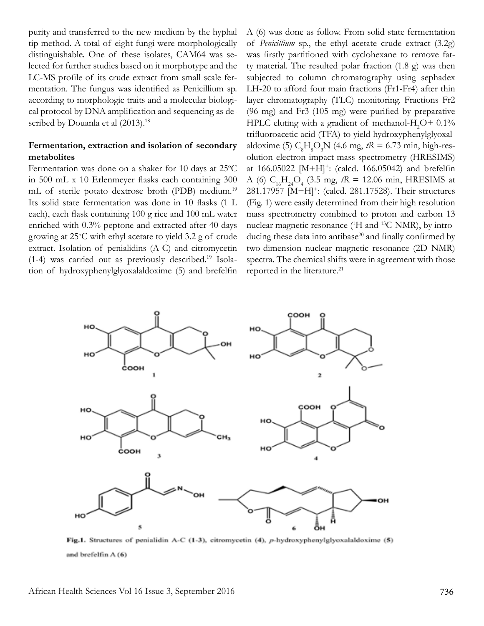purity and transferred to the new medium by the hyphal tip method. A total of eight fungi were morphologically distinguishable. One of these isolates, CAM64 was selected for further studies based on it morphotype and the LC-MS profile of its crude extract from small scale fermentation. The fungus was identified as Penicillium sp. according to morphologic traits and a molecular biological protocol by DNA amplification and sequencing as described by Douanla et al (2013).<sup>18</sup>

## **Fermentation, extraction and isolation of secondary metabolites**

Fermentation was done on a shaker for 10 days at 25°C in 500 mL x 10 Erlenmeyer flasks each containing 300 mL of sterile potato dextrose broth (PDB) medium.<sup>19</sup> Its solid state fermentation was done in 10 flasks (1 L each), each flask containing 100 g rice and 100 mL water enriched with 0.3% peptone and extracted after 40 days growing at 25°C with ethyl acetate to yield 3.2 g of crude extract. Isolation of penialidins (A-C) and citromycetin (1-4) was carried out as previously described.19 Isolation of hydroxyphenylglyoxalaldoxime (5) and brefelfin

A (6) was done as follow. From solid state fermentation of *Penicillium* sp., the ethyl acetate crude extract (3.2g) was firstly partitioned with cyclohexane to remove fatty material. The resulted polar fraction (1.8 g) was then subjected to column chromatography using sephadex LH-20 to afford four main fractions (Fr1-Fr4) after thin layer chromatography (TLC) monitoring. Fractions Fr2 (96 mg) and Fr3 (105 mg) were purified by preparative HPLC eluting with a gradient of methanol- $H_2O+0.1\%$ trifluoroacetic acid (TFA) to yield hydroxyphenylglyoxalaldoxime (5)  $C_8H_8O_3N$  (4.6 mg,  $tR = 6.73$  min, high-resolution electron impact-mass spectrometry (HRESIMS) at  $166.05022$  [M+H]<sup>+</sup>: (calcd. 166.05042) and brefelfin A (6)  $C_{16}H_{24}O_4$  (3.5 mg,  $tR = 12.06$  min, HRESIMS at 281.17957 [M+H]+: (calcd. 281.17528). Their structures (Fig. 1) were easily determined from their high resolution mass spectrometry combined to proton and carbon 13 nuclear magnetic resonance (<sup>1</sup>H and <sup>13</sup>C-NMR), by introducing these data into antibase<sup>20</sup> and finally confirmed by two-dimension nuclear magnetic resonance (2D NMR) spectra. The chemical shifts were in agreement with those reported in the literature.<sup>21</sup>



Fig.1. Structures of penialidin A-C (1-3), citromycetin (4), p-hydroxyphenylglyoxalaldoxime (5) and brefelfin A (6)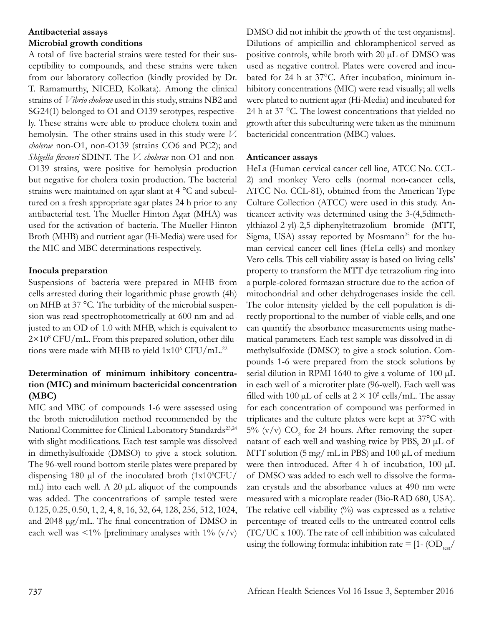## **Antibacterial assays Microbial growth conditions**

A total of five bacterial strains were tested for their susceptibility to compounds, and these strains were taken from our laboratory collection (kindly provided by Dr. T. Ramamurthy, NICED, Kolkata). Among the clinical strains of *Vibrio cholerae* used in this study, strains NB2 and SG24(1) belonged to O1 and O139 serotypes, respectively. These strains were able to produce cholera toxin and hemolysin. The other strains used in this study were *V. cholerae* non-O1, non-O139 (strains CO6 and PC2); and *Shigella flexneri* SDINT. The *V. cholerae* non-O1 and non-O139 strains, were positive for hemolysin production but negative for cholera toxin production. The bacterial strains were maintained on agar slant at 4 °C and subcultured on a fresh appropriate agar plates 24 h prior to any antibacterial test. The Mueller Hinton Agar (MHA) was used for the activation of bacteria. The Mueller Hinton Broth (MHB) and nutrient agar (Hi-Media) were used for the MIC and MBC determinations respectively.

## **Inocula preparation**

Suspensions of bacteria were prepared in MHB from cells arrested during their logarithmic phase growth (4h) on MHB at 37 °C. The turbidity of the microbial suspension was read spectrophotometrically at 600 nm and adjusted to an OD of 1.0 with MHB, which is equivalent to 2×10<sup>8</sup> CFU/mL. From this prepared solution, other dilutions were made with MHB to yield  $1x10^6$  CFU/mL.<sup>22</sup>

## **Determination of minimum inhibitory concentration (MIC) and minimum bactericidal concentration (MBC)**

MIC and MBC of compounds 1-6 were assessed using the broth microdilution method recommended by the National Committee for Clinical Laboratory Standards<sup>23,24</sup> with slight modifications. Each test sample was dissolved in dimethylsulfoxide (DMSO) to give a stock solution. The 96-well round bottom sterile plates were prepared by dispensing 180  $\mu$ l of the inoculated broth (1x10<sup>6</sup>CFU/ mL) into each well. A 20  $\mu$ L aliquot of the compounds was added. The concentrations of sample tested were 0.125, 0.25, 0.50, 1, 2, 4, 8, 16, 32, 64, 128, 256, 512, 1024, and 2048 µg/mL. The final concentration of DMSO in each well was  $\langle 1\%$  [preliminary analyses with  $1\%$  (v/v)

DMSO did not inhibit the growth of the test organisms]. Dilutions of ampicillin and chloramphenicol served as positive controls, while broth with 20 µL of DMSO was used as negative control. Plates were covered and incubated for 24 h at 37°C. After incubation, minimum inhibitory concentrations (MIC) were read visually; all wells were plated to nutrient agar (Hi-Media) and incubated for 24 h at 37 °C. The lowest concentrations that yielded no growth after this subculturing were taken as the minimum bactericidal concentration (MBC) values.

## **Anticancer assays**

HeLa (Human cervical cancer cell line, ATCC No. CCL-2) and monkey Vero cells (normal non-cancer cells, ATCC No. CCL-81), obtained from the American Type Culture Collection (ATCC) were used in this study. Anticancer activity was determined using the 3-(4,5dimethylthiazol-2-yl)-2,5-diphenyltetrazolium bromide (MTT, Sigma, USA) assay reported by Mosmann<sup>25</sup> for the human cervical cancer cell lines (HeLa cells) and monkey Vero cells. This cell viability assay is based on living cells' property to transform the MTT dye tetrazolium ring into a purple-colored formazan structure due to the action of mitochondrial and other dehydrogenases inside the cell. The color intensity yielded by the cell population is directly proportional to the number of viable cells, and one can quantify the absorbance measurements using mathematical parameters. Each test sample was dissolved in dimethylsulfoxide (DMSO) to give a stock solution. Compounds 1-6 were prepared from the stock solutions by serial dilution in RPMI 1640 to give a volume of 100  $\mu$ L in each well of a microtiter plate (96-well). Each well was filled with 100  $\mu$ L of cells at  $2 \times 10^5$  cells/mL. The assay for each concentration of compound was performed in triplicates and the culture plates were kept at 37°C with 5% (v/v)  $CO<sub>2</sub>$  for 24 hours. After removing the supernatant of each well and washing twice by PBS, 20 μL of MTT solution (5 mg/ mL in PBS) and 100 μL of medium were then introduced. After 4 h of incubation, 100 µL of DMSO was added to each well to dissolve the formazan crystals and the absorbance values at 490 nm were measured with a microplate reader (Bio-RAD 680, USA). The relative cell viability  $(%)$  was expressed as a relative percentage of treated cells to the untreated control cells (TC/UC x 100). The rate of cell inhibition was calculated using the following formula: inhibition rate =  $[1-(OD_{\text{test}}/$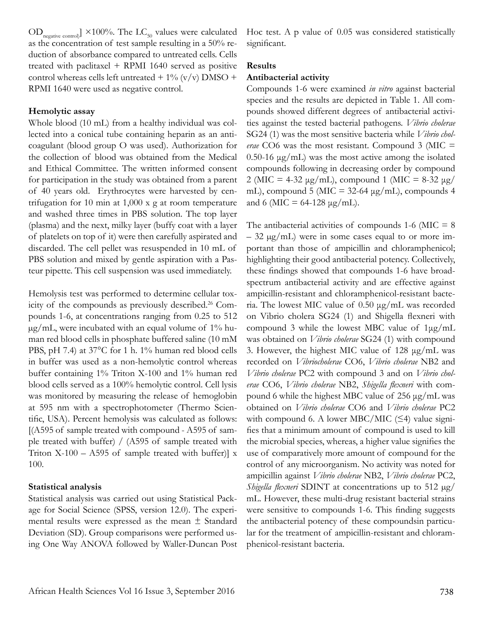$OD_{\text{negative control}}$ ] ×100%. The  $LC_{50}$  values were calculated as the concentration of test sample resulting in a 50% reduction of absorbance compared to untreated cells. Cells treated with paclitaxel + RPMI 1640 served as positive control whereas cells left untreated  $+ 1\%$  (v/v) DMSO  $+$ RPMI 1640 were used as negative control.

#### **Hemolytic assay**

Whole blood (10 mL) from a healthy individual was collected into a conical tube containing heparin as an anticoagulant (blood group O was used). Authorization for the collection of blood was obtained from the Medical and Ethical Committee. The written informed consent for participation in the study was obtained from a parent of 40 years old. Erythrocytes were harvested by centrifugation for 10 min at 1,000 x g at room temperature and washed three times in PBS solution. The top layer (plasma) and the next, milky layer (buffy coat with a layer of platelets on top of it) were then carefully aspirated and discarded. The cell pellet was resuspended in 10 mL of PBS solution and mixed by gentle aspiration with a Pasteur pipette. This cell suspension was used immediately.

Hemolysis test was performed to determine cellular toxicity of the compounds as previously described.<sup>26</sup> Compounds 1-6, at concentrations ranging from 0.25 to 512  $\mu$ g/mL, were incubated with an equal volume of 1% human red blood cells in phosphate buffered saline (10 mM PBS, pH 7.4) at 37°C for 1 h. 1% human red blood cells in buffer was used as a non-hemolytic control whereas buffer containing 1% Triton X-100 and 1% human red blood cells served as a 100% hemolytic control. Cell lysis was monitored by measuring the release of hemoglobin at 595 nm with a spectrophotometer (Thermo Scientific, USA). Percent hemolysis was calculated as follows: [(A595 of sample treated with compound - A595 of sample treated with buffer) / (A595 of sample treated with Triton  $X-100 - A595$  of sample treated with buffer)] x 100.

#### **Statistical analysis**

Statistical analysis was carried out using Statistical Package for Social Science (SPSS, version 12.0). The experimental results were expressed as the mean  $\pm$  Standard Deviation (SD). Group comparisons were performed using One Way ANOVA followed by Waller-Duncan Post Hoc test. A p value of 0.05 was considered statistically significant.

### **Results**

#### **Antibacterial activity**

Compounds 1-6 were examined *in vitro* against bacterial species and the results are depicted in Table 1. All compounds showed different degrees of antibacterial activities against the tested bacterial pathogens. *Vibrio cholerae* SG24 (1) was the most sensitive bacteria while *Vibrio cholerae* CO6 was the most resistant. Compound 3 (MIC = 0.50-16 μg/mL) was the most active among the isolated compounds following in decreasing order by compound 2 (MIC = 4-32 μg/mL), compound 1 (MIC = 8-32 μg/ mL), compound 5 (MIC =  $32-64 \mu g/mL$ ), compounds 4 and 6 (MIC = 64-128  $\mu$ g/mL).

The antibacterial activities of compounds 1-6 (MIC  $= 8$ )  $-32 \mu g/mL$ ) were in some cases equal to or more important than those of ampicillin and chloramphenicol; highlighting their good antibacterial potency. Collectively, these findings showed that compounds 1-6 have broadspectrum antibacterial activity and are effective against ampicillin-resistant and chloramphenicol-resistant bacteria. The lowest MIC value of 0.50 μg/mL was recorded on Vibrio cholera SG24 (1) and Shigella flexneri with compound 3 while the lowest MBC value of 1μg/mL was obtained on *Vibrio cholerae* SG24 (1) with compound 3. However, the highest MIC value of 128 μg/mL was recorded on *Vibriocholerae* CO6, *Vibrio cholerae* NB2 and *Vibrio cholerae* PC2 with compound 3 and on *Vibrio cholerae* CO6, *Vibrio cholerae* NB2, *Shigella flexneri* with compound 6 while the highest MBC value of 256 μg/mL was obtained on *Vibrio cholerae* CO6 and *Vibrio cholerae* PC2 with compound 6. A lower MBC/MIC  $(\leq 4)$  value signifies that a minimum amount of compound is used to kill the microbial species, whereas, a higher value signifies the use of comparatively more amount of compound for the control of any microorganism. No activity was noted for ampicillin against *Vibrio cholerae* NB2, *Vibrio cholerae* PC2, *Shigella flexneri* SDINT at concentrations up to 512 µg/ mL. However, these multi-drug resistant bacterial strains were sensitive to compounds 1-6. This finding suggests the antibacterial potency of these compoundsin particular for the treatment of ampicillin-resistant and chloramphenicol-resistant bacteria.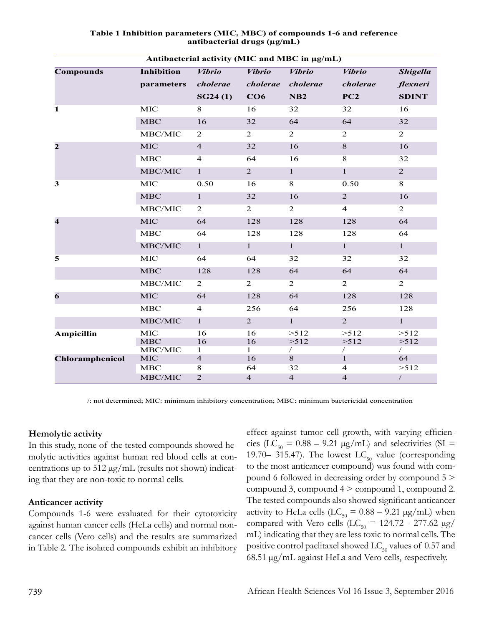| Antibacterial activity (MIC and MBC in µg/mL) |                       |                     |                         |                     |                            |                  |  |  |  |  |  |  |
|-----------------------------------------------|-----------------------|---------------------|-------------------------|---------------------|----------------------------|------------------|--|--|--|--|--|--|
| <b>Compounds</b>                              | <b>Inhibition</b>     | <b>Vibrio</b>       | <b>Vibrio</b>           | <b>Vibrio</b>       | <b>Vibrio</b>              | <b>Shigella</b>  |  |  |  |  |  |  |
|                                               | parameters            | cholerae            | cholerae                | cholerae            | cholerae                   | flexneri         |  |  |  |  |  |  |
|                                               |                       | SG24(1)             | CO6                     | NB <sub>2</sub>     | PC2                        | <b>SDINT</b>     |  |  |  |  |  |  |
| 1                                             | MIC                   | 8                   | 16                      | 32                  | 32                         | 16               |  |  |  |  |  |  |
|                                               | MBC                   | 16                  | 32                      | 64                  | 64                         | 32               |  |  |  |  |  |  |
|                                               | MBC/MIC               | $\overline{2}$      | $\overline{2}$          | $\overline{2}$      | $\overline{2}$             | $\overline{2}$   |  |  |  |  |  |  |
| $\overline{2}$                                | <b>MIC</b>            | $\overline{4}$      | 32                      | 16                  | $8\,$                      | 16               |  |  |  |  |  |  |
|                                               | MBC                   | $\overline{4}$      | 64                      | 16                  | $\overline{8}$             | 32               |  |  |  |  |  |  |
|                                               | MBC/MIC               | $\mathbf{1}$        | $\overline{2}$          | $\mathbf{1}$        | $\mathbf{1}$               | $\overline{2}$   |  |  |  |  |  |  |
| 3                                             | MIC                   | 0.50                | 16                      | 8                   | 0.50                       | 8                |  |  |  |  |  |  |
|                                               | <b>MBC</b>            | $\mathbf{1}$        | 32                      | 16                  | $\overline{2}$             | 16               |  |  |  |  |  |  |
|                                               | MBC/MIC               | $\overline{2}$      | $\overline{c}$          | $\overline{2}$      | $\overline{4}$             | $\overline{2}$   |  |  |  |  |  |  |
| $\overline{\mathbf{4}}$                       | MIC                   | 64                  | 128                     | 128                 | 128                        | 64               |  |  |  |  |  |  |
|                                               | MBC                   | 64                  | 128                     | 128                 | 128                        | 64               |  |  |  |  |  |  |
|                                               | MBC/MIC               | $\mathbf{1}$        | $\mathbf{1}$            | $\mathbf{1}$        | $\mathbf{1}$               | $\mathbf{1}$     |  |  |  |  |  |  |
| 5                                             | MIC                   | 64                  | 64                      | 32                  | 32                         | 32               |  |  |  |  |  |  |
|                                               | MBC                   | 128                 | 128                     | 64                  | 64                         | 64               |  |  |  |  |  |  |
|                                               | MBC/MIC               | $\overline{2}$      | $\overline{2}$          | $\overline{2}$      | $\overline{2}$             | $\overline{2}$   |  |  |  |  |  |  |
| 6                                             | <b>MIC</b>            | 64                  | 128                     | 64                  | 128                        | 128              |  |  |  |  |  |  |
|                                               | <b>MBC</b>            | $\overline{4}$      | 256                     | 64                  | 256                        | 128              |  |  |  |  |  |  |
|                                               | MBC/MIC               | $\mathbf{1}$        | 2                       | $\mathbf{1}$        | $\overline{2}$             | $\mathbf{1}$     |  |  |  |  |  |  |
| Ampicillin                                    | MIC                   | 16                  | 16                      | >512                | >512                       | >512             |  |  |  |  |  |  |
|                                               | MBC                   | 16                  | 16                      | >512                | >512                       | >512             |  |  |  |  |  |  |
| Chloramphenicol                               | MBC/MIC<br><b>MIC</b> | 1<br>$\overline{4}$ | $\mathbf{1}$<br>16      | $\sqrt{2}$<br>$8\,$ | $\sqrt{2}$<br>$\mathbf{1}$ | $\sqrt{2}$<br>64 |  |  |  |  |  |  |
|                                               | MBC                   | 8                   | 64                      | 32                  | $\overline{4}$             | >512             |  |  |  |  |  |  |
|                                               | MBC/MIC               | $\overline{2}$      | $\overline{\mathbf{4}}$ | $\overline{4}$      | $\overline{4}$             | $\sqrt{2}$       |  |  |  |  |  |  |

#### **Table 1 Inhibition parameters (MIC, MBC) of compounds 1-6 and reference antibacterial drugs (µg/mL)**

/: not determined; MIC: minimum inhibitory concentration; MBC: minimum bactericidal concentration

## **Hemolytic activity**

In this study, none of the tested compounds showed hemolytic activities against human red blood cells at concentrations up to  $512 \mu g/mL$  (results not shown) indicating that they are non-toxic to normal cells.

## **Anticancer activity**

Compounds 1-6 were evaluated for their cytotoxicity against human cancer cells (HeLa cells) and normal noncancer cells (Vero cells) and the results are summarized in Table 2. The isolated compounds exhibit an inhibitory

effect against tumor cell growth, with varying efficiencies (LC<sub>50</sub> = 0.88 – 9.21  $\mu$ g/mL) and selectivities (SI = 19.70– 315.47). The lowest  $LC_{50}$  value (corresponding to the most anticancer compound) was found with compound 6 followed in decreasing order by compound 5 > compound 3, compound 4 > compound 1, compound 2. The tested compounds also showed significant anticancer activity to HeLa cells (LC<sub>50</sub> =  $0.88 - 9.21 \text{ µg/mL}$ ) when compared with Vero cells  $(LC_{50} = 124.72 - 277.62 \text{ µg}$ mL) indicating that they are less toxic to normal cells. The positive control paclitaxel showed  $LC_{50}$  values of 0.57 and 68.51 µg/mL against HeLa and Vero cells, respectively.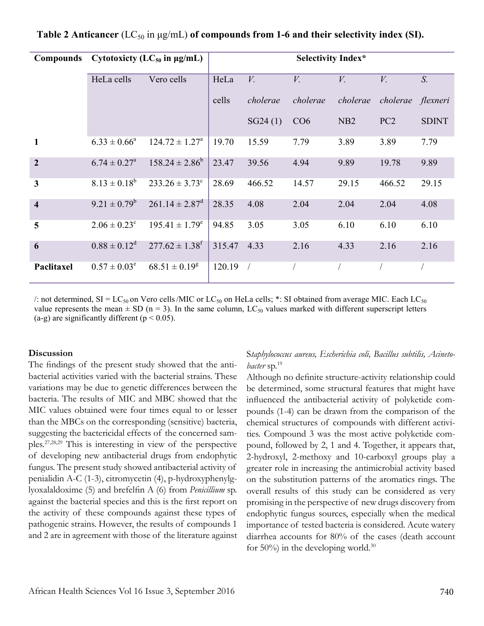| Compounds               | Cytotoxicty (LC <sub>50</sub> in $\mu$ g/mL) | <b>Selectivity Index*</b>      |        |             |             |                 |                 |              |
|-------------------------|----------------------------------------------|--------------------------------|--------|-------------|-------------|-----------------|-----------------|--------------|
|                         | HeLa cells                                   | Vero cells                     | HeLa   | $V_{\cdot}$ | $V_{\cdot}$ | $V_{\cdot}$     | V.              | $S_{\cdot}$  |
|                         |                                              |                                | cells  | cholerae    | cholerae    | cholerae        | cholerae        | flexneri     |
|                         |                                              |                                |        | SG24(1)     | CO6         | N <sub>B2</sub> | PC <sub>2</sub> | <b>SDINT</b> |
| $\mathbf{1}$            | $6.33 \pm 0.66^a$                            | $124.72 \pm 1.27^{\circ}$      | 19.70  | 15.59       | 7.79        | 3.89            | 3.89            | 7.79         |
| $\overline{2}$          | $6.74 \pm 0.27^{\circ}$                      | $158.24 \pm 2.86^b$            | 23.47  | 39.56       | 4.94        | 9.89            | 19.78           | 9.89         |
| $\overline{\mathbf{3}}$ | $8.13 \pm 0.18^b$                            | $233.26 \pm 3.73$ <sup>c</sup> | 28.69  | 466.52      | 14.57       | 29.15           | 466.52          | 29.15        |
| $\overline{\mathbf{4}}$ | $9.21 \pm 0.79^b$                            | $261.14 \pm 2.87$ <sup>d</sup> | 28.35  | 4.08        | 2.04        | 2.04            | 2.04            | 4.08         |
| 5                       | $2.06 \pm 0.23^{\circ}$                      | $195.41 \pm 1.79^e$            | 94.85  | 3.05        | 3.05        | 6.10            | 6.10            | 6.10         |
| 6                       | $0.88 \pm 0.12^d$                            | $277.62 \pm 1.38$ <sup>f</sup> | 315.47 | 4.33        | 2.16        | 4.33            | 2.16            | 2.16         |
| Paclitaxel              | $0.57 \pm 0.03^e$                            | $68.51 \pm 0.19^g$             | 120.19 | $\sqrt{2}$  |             |                 |                 |              |

## **Table 2 Anticancer** (LC<sub>50</sub> in μg/mL) of compounds from 1-6 and their selectivity index (SI).

/: not determined,  $SI = LC_{50}$  on Vero cells/MIC or  $LC_{50}$  on HeLa cells; \*: SI obtained from average MIC. Each  $LC_{50}$ value represents the mean  $\pm$  SD (n = 3). In the same column, LC<sub>50</sub> values marked with different superscript letters (a-g) are significantly different ( $p < 0.05$ ).

#### **Discussion**

The findings of the present study showed that the antibacterial activities varied with the bacterial strains. These variations may be due to genetic differences between the bacteria. The results of MIC and MBC showed that the MIC values obtained were four times equal to or lesser than the MBCs on the corresponding (sensitive) bacteria, suggesting the bactericidal effects of the concerned samples.27,28,29 This is interesting in view of the perspective of developing new antibacterial drugs from endophytic fungus. The present study showed antibacterial activity of penialidin A-C (1-3), citromycetin (4), p-hydroxyphenylglyoxalaldoxime (5) and brefelfin A (6) from *Penicillium* sp. against the bacterial species and this is the first report on the activity of these compounds against these types of pathogenic strains. However, the results of compounds 1 and 2 are in agreement with those of the literature against

### S*taphylococcus aureus, Escherichia coli, Bacillus subtilis, Acinetobacter* sp.19

Although no definite structure-activity relationship could be determined, some structural features that might have influenced the antibacterial activity of polyketide compounds (1-4) can be drawn from the comparison of the chemical structures of compounds with different activities. Compound 3 was the most active polyketide compound, followed by 2, 1 and 4. Together, it appears that, 2-hydroxyl, 2-methoxy and 10-carboxyl groups play a greater role in increasing the antimicrobial activity based on the substitution patterns of the aromatics rings. The overall results of this study can be considered as very promising in the perspective of new drugs discovery from endophytic fungus sources, especially when the medical importance of tested bacteria is considered. Acute watery diarrhea accounts for 80% of the cases (death account for  $50\%$ ) in the developing world.<sup>30</sup>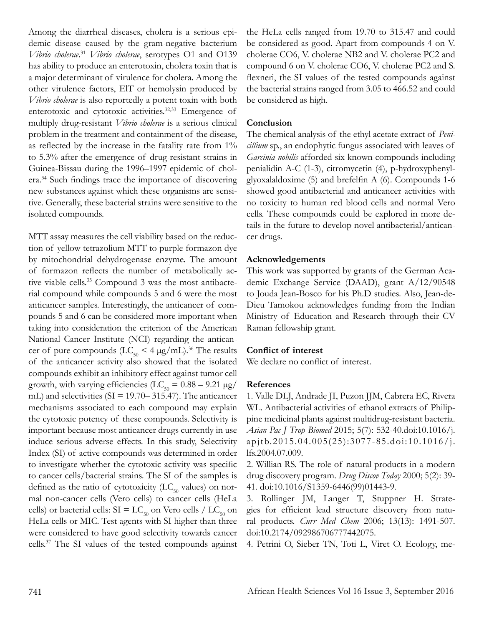Among the diarrheal diseases, cholera is a serious epidemic disease caused by the gram-negative bacterium *Vibrio cholerae*. <sup>31</sup> *Vibrio cholerae*, serotypes O1 and O139 has ability to produce an enterotoxin, cholera toxin that is a major determinant of virulence for cholera. Among the other virulence factors, ElT or hemolysin produced by *Vibrio cholerae* is also reportedly a potent toxin with both enterotoxic and cytotoxic activities.<sup>32,33</sup> Emergence of multiply drug-resistant *Vibrio cholerae* is a serious clinical problem in the treatment and containment of the disease, as reflected by the increase in the fatality rate from 1% to 5.3% after the emergence of drug-resistant strains in Guinea-Bissau during the 1996–1997 epidemic of cholera.34 Such findings trace the importance of discovering new substances against which these organisms are sensitive. Generally, these bacterial strains were sensitive to the isolated compounds.

MTT assay measures the cell viability based on the reduction of yellow tetrazolium MTT to purple formazon dye by mitochondrial dehydrogenase enzyme. The amount of formazon reflects the number of metabolically active viable cells.<sup>35</sup> Compound 3 was the most antibacterial compound while compounds 5 and 6 were the most anticancer samples. Interestingly, the anticancer of compounds 5 and 6 can be considered more important when taking into consideration the criterion of the American National Cancer Institute (NCI) regarding the anticancer of pure compounds  $(LC_{50} < 4 \mu g/mL)$ .<sup>36</sup> The results of the anticancer activity also showed that the isolated compounds exhibit an inhibitory effect against tumor cell growth, with varying efficiencies ( $LC_{50} = 0.88 - 9.21 \text{ µg}$ / mL) and selectivities ( $SI = 19.70 - 315.47$ ). The anticancer mechanisms associated to each compound may explain the cytotoxic potency of these compounds. Selectivity is important because most anticancer drugs currently in use induce serious adverse effects. In this study, Selectivity Index (SI) of active compounds was determined in order to investigate whether the cytotoxic activity was specific to cancer cells/bacterial strains. The SI of the samples is defined as the ratio of cytotoxicity ( $LC_{50}$  values) on normal non-cancer cells (Vero cells) to cancer cells (HeLa cells) or bacterial cells:  $SI = LC_{50}$  on Vero cells /  $LC_{50}$  on HeLa cells or MIC. Test agents with SI higher than three were considered to have good selectivity towards cancer cells.37 The SI values of the tested compounds against the HeLa cells ranged from 19.70 to 315.47 and could be considered as good. Apart from compounds 4 on V. cholerae CO6, V. cholerae NB2 and V. cholerae PC2 and compound 6 on V. cholerae CO6, V. cholerae PC2 and S. flexneri, the SI values of the tested compounds against the bacterial strains ranged from 3.05 to 466.52 and could be considered as high.

## **Conclusion**

The chemical analysis of the ethyl acetate extract of *Penicillium* sp., an endophytic fungus associated with leaves of *Garcinia nobilis* afforded six known compounds including penialidin A-C (1-3), citromycetin (4), p-hydroxyphenylglyoxalaldoxime (5) and brefelfin A (6). Compounds 1-6 showed good antibacterial and anticancer activities with no toxicity to human red blood cells and normal Vero cells. These compounds could be explored in more details in the future to develop novel antibacterial/anticancer drugs.

### **Acknowledgements**

This work was supported by grants of the German Academic Exchange Service (DAAD), grant A/12/90548 to Jouda Jean-Bosco for his Ph.D studies. Also, Jean-de-Dieu Tamokou acknowledges funding from the Indian Ministry of Education and Research through their CV Raman fellowship grant.

## **Conflict of interest**

We declare no conflict of interest.

#### **References**

1. Valle DLJ, Andrade JI, Puzon JJM, Cabrera EC, Rivera WL. Antibacterial activities of ethanol extracts of Philippine medicinal plants against multidrug-resistant bacteria. *Asian Pac J Trop Biomed* 2015; 5(7): 532-40.doi:10.1016/j. apjtb.2015.04.005(25):3077-85.doi:10.1016/j. lfs.2004.07.009.

2. Willian RS. The role of natural products in a modern drug discovery program. *Drug Discov Today* 2000; 5(2): 39- 41. doi:10.1016/S1359-6446(99)01443-9.

3. Rollinger JM, Langer T, Stuppner H. Strategies for efficient lead structure discovery from natural products. *Curr Med Chem* 2006; 13(13): 1491-507. doi:10.2174/092986706777442075.

4. Petrini O, Sieber TN, Toti L, Viret O. Ecology, me-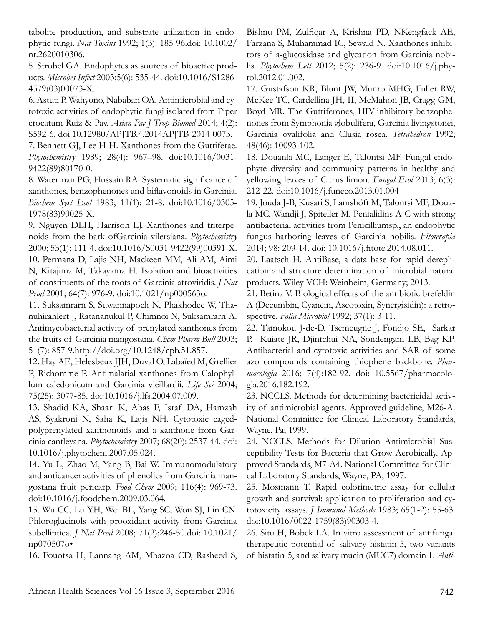tabolite production, and substrate utilization in endophytic fungi. *Nat Toxins* 1992; 1(3): 185-96.doi: 10.1002/ nt.2620010306.

5. Strobel GA. Endophytes as sources of bioactive products. *Microbes Infect* 2003;5(6): 535-44. doi:10.1016/S1286- 4579(03)00073-X.

6. Astuti P, Wahyono, Nababan OA. Antimicrobial and cytotoxic activities of endophytic fungi isolated from Piper crocatum Ruiz & Pav. *Asian Pac J Trop Biomed* 2014; 4(2): S592-6. doi:10.12980/APJTB.4.2014APJTB-2014-0073.

7. Bennett GJ, Lee H-H. Xanthones from the Guttiferae. *Phytochemistry* 1989; 28(4): 967–98. doi:10.1016/0031- 9422(89)80170-0.

8. Waterman PG, Hussain RA. Systematic significance of xanthones, benzophenones and biflavonoids in Garcinia. *Biochem Syst Ecol* 1983; 11(1): 21-8. doi:10.1016/0305- 1978(83)90025-X.

9. Nguyen DLH, Harrison LJ. Xanthones and triterpenoids from the bark ofGarcinia vilersiana. *Phytochemistry*  2000; 53(1): 111-4. doi:10.1016/S0031-9422(99)00391-X. 10. Permana D, Lajis NH, Mackeen MM, Ali AM, Aimi N, Kitajima M, Takayama H. Isolation and bioactivities of constituents of the roots of Garcinia atroviridis. *J Nat Prod* 2001; 64(7): 976-9. doi:10.1021/np000563o.

11. Suksamrarn S, Suwannapoch N, Phakhodee W, Thanuhiranlert J, Ratananukul P, Chimnoi N, Suksamrarn A. Antimycobacterial activity of prenylated xanthones from the fruits of Garcinia mangostana. *Chem Pharm Bull* 2003; 51(7): 857-9.http://doi.org/10.1248/cpb.51.857.

12. Hay AE, Helesbeux JJH, Duval O, Labaïed M, Grellier P, Richomme P. Antimalarial xanthones from Calophyllum caledonicum and Garcinia vieillardii. *Life Sci* 2004; 75(25): 3077-85. doi:10.1016/j.lfs.2004.07.009.

13. Shadid KA, Shaari K, Abas F, Israf DA, Hamzah AS, Syakroni N, Saha K, Lajis NH. Cytotoxic cagedpolyprenylated xanthonoids and a xanthone from Garcinia cantleyana. *Phytochemistry* 2007; 68(20): 2537-44. doi: 10.1016/j.phytochem.2007.05.024.

14. Yu L, Zhao M, Yang B, Bai W. Immunomodulatory and anticancer activities of phenolics from Garcinia mangostana fruit pericarp. *Food Chem* 2009; 116(4): 969-73. doi:10.1016/j.foodchem.2009.03.064.

15. Wu CC, Lu YH, Wei BL, Yang SC, Won SJ, Lin CN. Phloroglucinols with prooxidant activity from Garcinia subelliptica. *J Nat Prod* 2008; 71(2):246-50.doi: 10.1021/ np070507o•

16. Fouotsa H, Lannang AM, Mbazoa CD, Rasheed S,

Bishnu PM, Zulfiqar A, Krishna PD, NKengfack AE, Farzana S, Muhammad IC, Sewald N. Xanthones inhibitors of a-glucosidase and glycation from Garcinia nobilis. *Phytochem Lett* 2012; 5(2): 236-9. doi:10.1016/j.phytol.2012.01.002.

17. Gustafson KR, Blunt JW, Munro MHG, Fuller RW, McKee TC, Cardellina JH, II, McMahon JB, Cragg GM, Boyd MR. The Guttiferones, HIV-inhibitory benzophenones from Symphonia globulifera, Garcinia livingstonei, Garcinia ovalifolia and Clusia rosea. *Tetrahedron* 1992; 48(46): 10093-102.

18. Douanla MC, Langer E, Talontsi MF. Fungal endophyte diversity and community patterns in healthy and yellowing leaves of Citrus limon. *Fungal Ecol* 2013; 6(3): 212-22. doi:10.1016/j.funeco.2013.01.004

19. Jouda J-B, Kusari S, Lamshöft M, Talontsi MF, Douala MC, Wandji J, Spiteller M. Penialidins A-C with strong antibacterial activities from Penicilliumsp., an endophytic fungus harboring leaves of Garcinia nobilis. *Fitoterapia*  2014; 98: 209-14. doi: 10.1016/j.fitote.2014.08.011.

20. Laatsch H. AntiBase, a data base for rapid dereplication and structure determination of microbial natural products. Wiley VCH: Weinheim, Germany; 2013.

21. Betina V. Biological effects of the antibiotic brefeldin A (Decumbin, Cyanein, Ascotoxin, Synergisidin): a retrospective. *Folia Microbiol* 1992; 37(1): 3-11.

22. Tamokou J-de-D, Tsemeugne J, Fondjo SE, Sarkar P, Kuiate JR, Djintchui NA, Sondengam LB, Bag KP. Antibacterial and cytotoxic activities and SAR of some azo compounds containing thiophene backbone. *Pharmacologia* 2016; 7(4):182-92. doi: 10.5567/pharmacologia.2016.182.192.

23. NCCLS. Methods for determining bactericidal activity of antimicrobial agents. Approved guideline, M26-A. National Committee for Clinical Laboratory Standards, Wayne, Pa; 1999.

24. NCCLS. Methods for Dilution Antimicrobial Susceptibility Tests for Bacteria that Grow Aerobically. Approved Standards, M7-A4. National Committee for Clinical Laboratory Standards, Wayne, PA; 1997.

25. Mosmann T. Rapid colorimetric assay for cellular growth and survival: application to proliferation and cytotoxicity assays. *J Immunol Methods* 1983; 65(1-2): 55-63. doi:10.1016/0022-1759(83)90303-4.

26. Situ H, Bobek LA. In vitro assessment of antifungal therapeutic potential of salivary histatin-5, two variants of histatin-5, and salivary mucin (MUC7) domain 1. *Anti-*